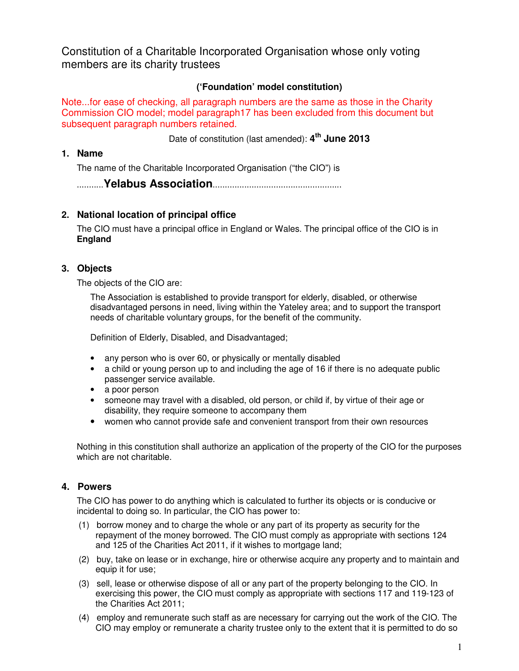Constitution of a Charitable Incorporated Organisation whose only voting members are its charity trustees

# **('Foundation' model constitution)**

Note...for ease of checking, all paragraph numbers are the same as those in the Charity Commission CIO model; model paragraph17 has been excluded from this document but subsequent paragraph numbers retained.

Date of constitution (last amended): **4th June 2013**

## **1. Name**

The name of the Charitable Incorporated Organisation ("the CIO") is

...........**Yelabus Association**.....................................................

# **2. National location of principal office**

The CIO must have a principal office in England or Wales. The principal office of the CIO is in **England** 

# **3. Objects**

The objects of the CIO are:

The Association is established to provide transport for elderly, disabled, or otherwise disadvantaged persons in need, living within the Yateley area; and to support the transport needs of charitable voluntary groups, for the benefit of the community.

Definition of Elderly, Disabled, and Disadvantaged;

- any person who is over 60, or physically or mentally disabled
- a child or young person up to and including the age of 16 if there is no adequate public passenger service available.
- a poor person
- someone may travel with a disabled, old person, or child if, by virtue of their age or disability, they require someone to accompany them
- women who cannot provide safe and convenient transport from their own resources

Nothing in this constitution shall authorize an application of the property of the CIO for the purposes which are not charitable.

# **4. Powers**

The CIO has power to do anything which is calculated to further its objects or is conducive or incidental to doing so. In particular, the CIO has power to:

- (1) borrow money and to charge the whole or any part of its property as security for the repayment of the money borrowed. The CIO must comply as appropriate with sections 124 and 125 of the Charities Act 2011, if it wishes to mortgage land;
- (2) buy, take on lease or in exchange, hire or otherwise acquire any property and to maintain and equip it for use;
- (3) sell, lease or otherwise dispose of all or any part of the property belonging to the CIO. In exercising this power, the CIO must comply as appropriate with sections 117 and 119-123 of the Charities Act 2011;
- (4) employ and remunerate such staff as are necessary for carrying out the work of the CIO. The CIO may employ or remunerate a charity trustee only to the extent that it is permitted to do so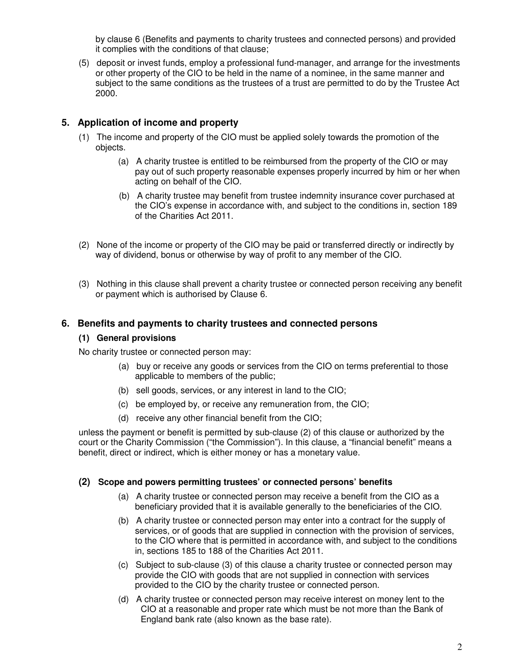by clause 6 (Benefits and payments to charity trustees and connected persons) and provided it complies with the conditions of that clause;

(5) deposit or invest funds, employ a professional fund-manager, and arrange for the investments or other property of the CIO to be held in the name of a nominee, in the same manner and subject to the same conditions as the trustees of a trust are permitted to do by the Trustee Act 2000.

## **5. Application of income and property**

- (1) The income and property of the CIO must be applied solely towards the promotion of the objects.
	- (a) A charity trustee is entitled to be reimbursed from the property of the CIO or may pay out of such property reasonable expenses properly incurred by him or her when acting on behalf of the CIO.
	- (b) A charity trustee may benefit from trustee indemnity insurance cover purchased at the CIO's expense in accordance with, and subject to the conditions in, section 189 of the Charities Act 2011.
- (2) None of the income or property of the CIO may be paid or transferred directly or indirectly by way of dividend, bonus or otherwise by way of profit to any member of the CIO.
- (3) Nothing in this clause shall prevent a charity trustee or connected person receiving any benefit or payment which is authorised by Clause 6.

#### **6. Benefits and payments to charity trustees and connected persons**

#### **(1) General provisions**

No charity trustee or connected person may:

- (a) buy or receive any goods or services from the CIO on terms preferential to those applicable to members of the public;
- (b) sell goods, services, or any interest in land to the CIO;
- (c) be employed by, or receive any remuneration from, the CIO;
- (d) receive any other financial benefit from the CIO;

unless the payment or benefit is permitted by sub-clause (2) of this clause or authorized by the court or the Charity Commission ("the Commission"). In this clause, a "financial benefit" means a benefit, direct or indirect, which is either money or has a monetary value.

#### **(2) Scope and powers permitting trustees' or connected persons' benefits**

- (a) A charity trustee or connected person may receive a benefit from the CIO as a beneficiary provided that it is available generally to the beneficiaries of the CIO.
- (b) A charity trustee or connected person may enter into a contract for the supply of services, or of goods that are supplied in connection with the provision of services, to the CIO where that is permitted in accordance with, and subject to the conditions in, sections 185 to 188 of the Charities Act 2011.
- (c) Subject to sub-clause (3) of this clause a charity trustee or connected person may provide the CIO with goods that are not supplied in connection with services provided to the CIO by the charity trustee or connected person.
- (d) A charity trustee or connected person may receive interest on money lent to the CIO at a reasonable and proper rate which must be not more than the Bank of England bank rate (also known as the base rate).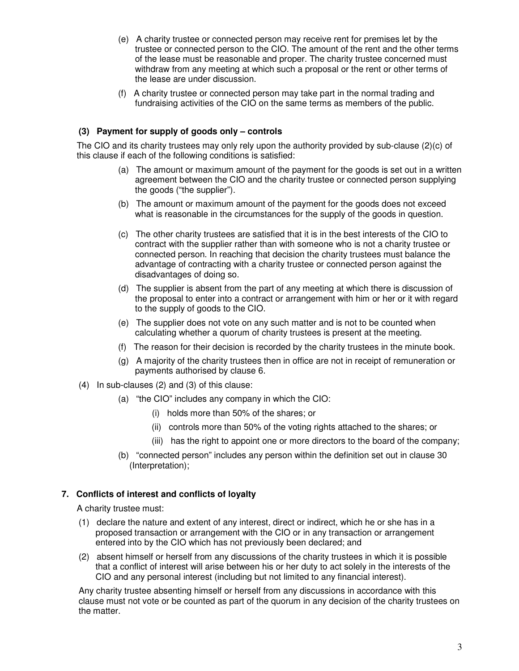- (e) A charity trustee or connected person may receive rent for premises let by the trustee or connected person to the CIO. The amount of the rent and the other terms of the lease must be reasonable and proper. The charity trustee concerned must withdraw from any meeting at which such a proposal or the rent or other terms of the lease are under discussion.
- (f) A charity trustee or connected person may take part in the normal trading and fundraising activities of the CIO on the same terms as members of the public.

### **(3) Payment for supply of goods only – controls**

The CIO and its charity trustees may only rely upon the authority provided by sub-clause (2)(c) of this clause if each of the following conditions is satisfied:

- (a) The amount or maximum amount of the payment for the goods is set out in a written agreement between the CIO and the charity trustee or connected person supplying the goods ("the supplier").
- (b) The amount or maximum amount of the payment for the goods does not exceed what is reasonable in the circumstances for the supply of the goods in question.
- (c) The other charity trustees are satisfied that it is in the best interests of the CIO to contract with the supplier rather than with someone who is not a charity trustee or connected person. In reaching that decision the charity trustees must balance the advantage of contracting with a charity trustee or connected person against the disadvantages of doing so.
- (d) The supplier is absent from the part of any meeting at which there is discussion of the proposal to enter into a contract or arrangement with him or her or it with regard to the supply of goods to the CIO.
- (e) The supplier does not vote on any such matter and is not to be counted when calculating whether a quorum of charity trustees is present at the meeting.
- (f) The reason for their decision is recorded by the charity trustees in the minute book.
- (g) A majority of the charity trustees then in office are not in receipt of remuneration or payments authorised by clause 6.
- (4) In sub-clauses (2) and (3) of this clause:
	- (a) "the CIO" includes any company in which the CIO:
		- (i) holds more than 50% of the shares; or
		- (ii) controls more than 50% of the voting rights attached to the shares; or
		- (iii) has the right to appoint one or more directors to the board of the company;
	- (b) "connected person" includes any person within the definition set out in clause 30 (Interpretation);

#### **7. Conflicts of interest and conflicts of loyalty**

A charity trustee must:

- (1) declare the nature and extent of any interest, direct or indirect, which he or she has in a proposed transaction or arrangement with the CIO or in any transaction or arrangement entered into by the CIO which has not previously been declared; and
- (2) absent himself or herself from any discussions of the charity trustees in which it is possible that a conflict of interest will arise between his or her duty to act solely in the interests of the CIO and any personal interest (including but not limited to any financial interest).

Any charity trustee absenting himself or herself from any discussions in accordance with this clause must not vote or be counted as part of the quorum in any decision of the charity trustees on the matter.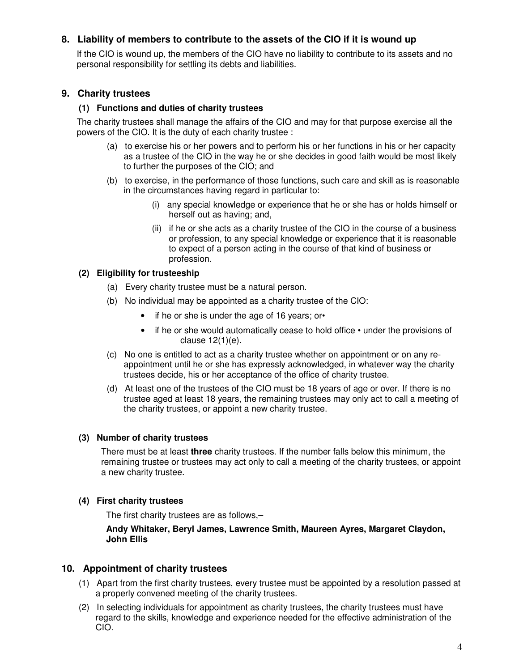# **8. Liability of members to contribute to the assets of the CIO if it is wound up**

If the CIO is wound up, the members of the CIO have no liability to contribute to its assets and no personal responsibility for settling its debts and liabilities.

# **9. Charity trustees**

#### **(1) Functions and duties of charity trustees**

The charity trustees shall manage the affairs of the CIO and may for that purpose exercise all the powers of the CIO. It is the duty of each charity trustee :

- (a) to exercise his or her powers and to perform his or her functions in his or her capacity as a trustee of the CIO in the way he or she decides in good faith would be most likely to further the purposes of the CIO; and
- (b) to exercise, in the performance of those functions, such care and skill as is reasonable in the circumstances having regard in particular to:
	- (i) any special knowledge or experience that he or she has or holds himself or herself out as having; and,
	- (ii) if he or she acts as a charity trustee of the CIO in the course of a business or profession, to any special knowledge or experience that it is reasonable to expect of a person acting in the course of that kind of business or profession.

#### **(2) Eligibility for trusteeship**

- (a) Every charity trustee must be a natural person.
- (b) No individual may be appointed as a charity trustee of the CIO:
	- if he or she is under the age of 16 years; or•
	- if he or she would automatically cease to hold office under the provisions of clause 12(1)(e).
- (c) No one is entitled to act as a charity trustee whether on appointment or on any reappointment until he or she has expressly acknowledged, in whatever way the charity trustees decide, his or her acceptance of the office of charity trustee.
- (d) At least one of the trustees of the CIO must be 18 years of age or over. If there is no trustee aged at least 18 years, the remaining trustees may only act to call a meeting of the charity trustees, or appoint a new charity trustee.

#### **(3) Number of charity trustees**

There must be at least **three** charity trustees. If the number falls below this minimum, the remaining trustee or trustees may act only to call a meeting of the charity trustees, or appoint a new charity trustee.

#### **(4) First charity trustees**

The first charity trustees are as follows,–

**Andy Whitaker, Beryl James, Lawrence Smith, Maureen Ayres, Margaret Claydon, John Ellis**

#### **10. Appointment of charity trustees**

- (1) Apart from the first charity trustees, every trustee must be appointed by a resolution passed at a properly convened meeting of the charity trustees.
- (2) In selecting individuals for appointment as charity trustees, the charity trustees must have regard to the skills, knowledge and experience needed for the effective administration of the CIO.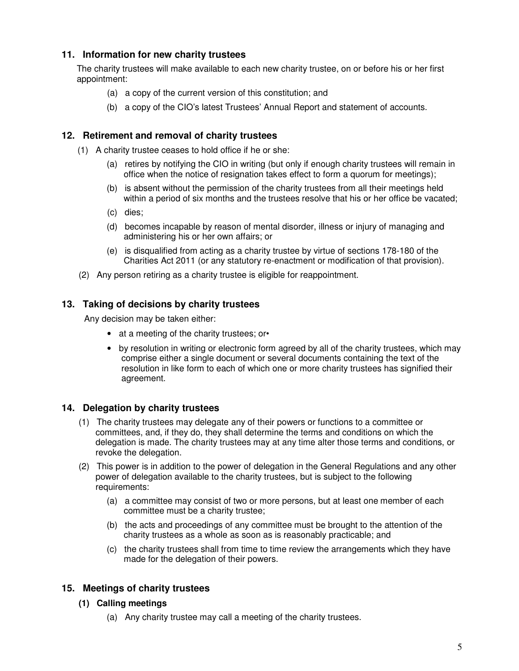# **11. Information for new charity trustees**

The charity trustees will make available to each new charity trustee, on or before his or her first appointment:

- (a) a copy of the current version of this constitution; and
- (b) a copy of the CIO's latest Trustees' Annual Report and statement of accounts.

### **12. Retirement and removal of charity trustees**

- (1) A charity trustee ceases to hold office if he or she:
	- (a) retires by notifying the CIO in writing (but only if enough charity trustees will remain in office when the notice of resignation takes effect to form a quorum for meetings);
	- (b) is absent without the permission of the charity trustees from all their meetings held within a period of six months and the trustees resolve that his or her office be vacated;
	- (c) dies;
	- (d) becomes incapable by reason of mental disorder, illness or injury of managing and administering his or her own affairs; or
	- (e) is disqualified from acting as a charity trustee by virtue of sections 178-180 of the Charities Act 2011 (or any statutory re-enactment or modification of that provision).
- (2) Any person retiring as a charity trustee is eligible for reappointment.

### **13. Taking of decisions by charity trustees**

Any decision may be taken either:

- at a meeting of the charity trustees; or•
- by resolution in writing or electronic form agreed by all of the charity trustees, which may comprise either a single document or several documents containing the text of the resolution in like form to each of which one or more charity trustees has signified their agreement.

#### **14. Delegation by charity trustees**

- (1) The charity trustees may delegate any of their powers or functions to a committee or committees, and, if they do, they shall determine the terms and conditions on which the delegation is made. The charity trustees may at any time alter those terms and conditions, or revoke the delegation.
- (2) This power is in addition to the power of delegation in the General Regulations and any other power of delegation available to the charity trustees, but is subject to the following requirements:
	- (a) a committee may consist of two or more persons, but at least one member of each committee must be a charity trustee;
	- (b) the acts and proceedings of any committee must be brought to the attention of the charity trustees as a whole as soon as is reasonably practicable; and
	- (c) the charity trustees shall from time to time review the arrangements which they have made for the delegation of their powers.

#### **15. Meetings of charity trustees**

- **(1) Calling meetings** 
	- (a) Any charity trustee may call a meeting of the charity trustees.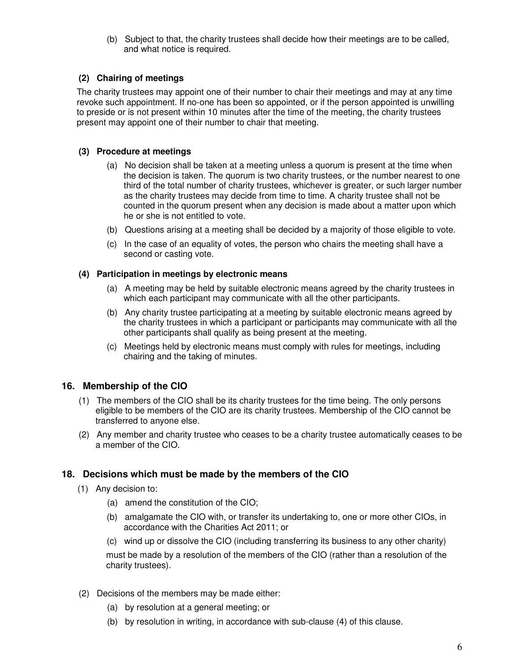(b) Subject to that, the charity trustees shall decide how their meetings are to be called, and what notice is required.

## **(2) Chairing of meetings**

The charity trustees may appoint one of their number to chair their meetings and may at any time revoke such appointment. If no-one has been so appointed, or if the person appointed is unwilling to preside or is not present within 10 minutes after the time of the meeting, the charity trustees present may appoint one of their number to chair that meeting.

### **(3) Procedure at meetings**

- (a) No decision shall be taken at a meeting unless a quorum is present at the time when the decision is taken. The quorum is two charity trustees, or the number nearest to one third of the total number of charity trustees, whichever is greater, or such larger number as the charity trustees may decide from time to time. A charity trustee shall not be counted in the quorum present when any decision is made about a matter upon which he or she is not entitled to vote.
- (b) Questions arising at a meeting shall be decided by a majority of those eligible to vote.
- (c) In the case of an equality of votes, the person who chairs the meeting shall have a second or casting vote.

#### **(4) Participation in meetings by electronic means**

- (a) A meeting may be held by suitable electronic means agreed by the charity trustees in which each participant may communicate with all the other participants.
- (b) Any charity trustee participating at a meeting by suitable electronic means agreed by the charity trustees in which a participant or participants may communicate with all the other participants shall qualify as being present at the meeting.
- (c) Meetings held by electronic means must comply with rules for meetings, including chairing and the taking of minutes.

# **16. Membership of the CIO**

- (1) The members of the CIO shall be its charity trustees for the time being. The only persons eligible to be members of the CIO are its charity trustees. Membership of the CIO cannot be transferred to anyone else.
- (2) Any member and charity trustee who ceases to be a charity trustee automatically ceases to be a member of the CIO.

#### **18. Decisions which must be made by the members of the CIO**

- (1) Any decision to:
	- (a) amend the constitution of the CIO;
	- (b) amalgamate the CIO with, or transfer its undertaking to, one or more other CIOs, in accordance with the Charities Act 2011; or
	- (c) wind up or dissolve the CIO (including transferring its business to any other charity)

must be made by a resolution of the members of the CIO (rather than a resolution of the charity trustees).

- (2) Decisions of the members may be made either:
	- (a) by resolution at a general meeting; or
	- (b) by resolution in writing, in accordance with sub-clause (4) of this clause.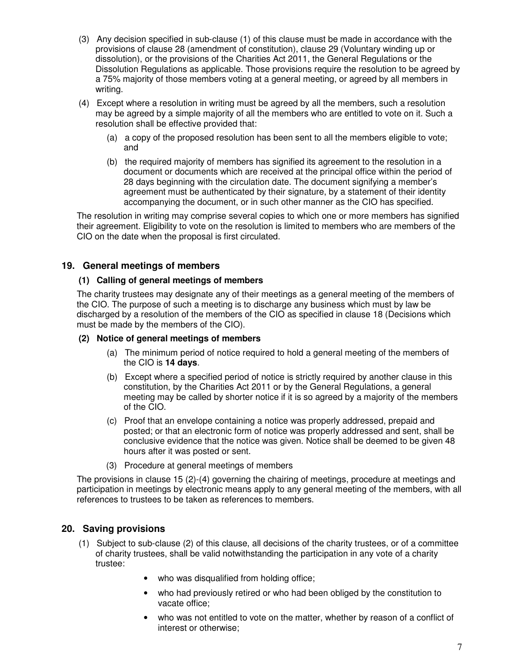- (3) Any decision specified in sub-clause (1) of this clause must be made in accordance with the provisions of clause 28 (amendment of constitution), clause 29 (Voluntary winding up or dissolution), or the provisions of the Charities Act 2011, the General Regulations or the Dissolution Regulations as applicable. Those provisions require the resolution to be agreed by a 75% majority of those members voting at a general meeting, or agreed by all members in writing.
- (4) Except where a resolution in writing must be agreed by all the members, such a resolution may be agreed by a simple majority of all the members who are entitled to vote on it. Such a resolution shall be effective provided that:
	- (a) a copy of the proposed resolution has been sent to all the members eligible to vote; and
	- (b) the required majority of members has signified its agreement to the resolution in a document or documents which are received at the principal office within the period of 28 days beginning with the circulation date. The document signifying a member's agreement must be authenticated by their signature, by a statement of their identity accompanying the document, or in such other manner as the CIO has specified.

The resolution in writing may comprise several copies to which one or more members has signified their agreement. Eligibility to vote on the resolution is limited to members who are members of the CIO on the date when the proposal is first circulated.

# **19. General meetings of members**

### **(1) Calling of general meetings of members**

The charity trustees may designate any of their meetings as a general meeting of the members of the CIO. The purpose of such a meeting is to discharge any business which must by law be discharged by a resolution of the members of the CIO as specified in clause 18 (Decisions which must be made by the members of the CIO).

### **(2) Notice of general meetings of members**

- (a) The minimum period of notice required to hold a general meeting of the members of the CIO is **14 days**.
- (b) Except where a specified period of notice is strictly required by another clause in this constitution, by the Charities Act 2011 or by the General Regulations, a general meeting may be called by shorter notice if it is so agreed by a majority of the members of the CIO.
- (c) Proof that an envelope containing a notice was properly addressed, prepaid and posted; or that an electronic form of notice was properly addressed and sent, shall be conclusive evidence that the notice was given. Notice shall be deemed to be given 48 hours after it was posted or sent.
- (3) Procedure at general meetings of members

The provisions in clause 15 (2)-(4) governing the chairing of meetings, procedure at meetings and participation in meetings by electronic means apply to any general meeting of the members, with all references to trustees to be taken as references to members.

# **20. Saving provisions**

- (1) Subject to sub-clause (2) of this clause, all decisions of the charity trustees, or of a committee of charity trustees, shall be valid notwithstanding the participation in any vote of a charity trustee:
	- who was disqualified from holding office;
	- who had previously retired or who had been obliged by the constitution to vacate office;
	- who was not entitled to vote on the matter, whether by reason of a conflict of interest or otherwise;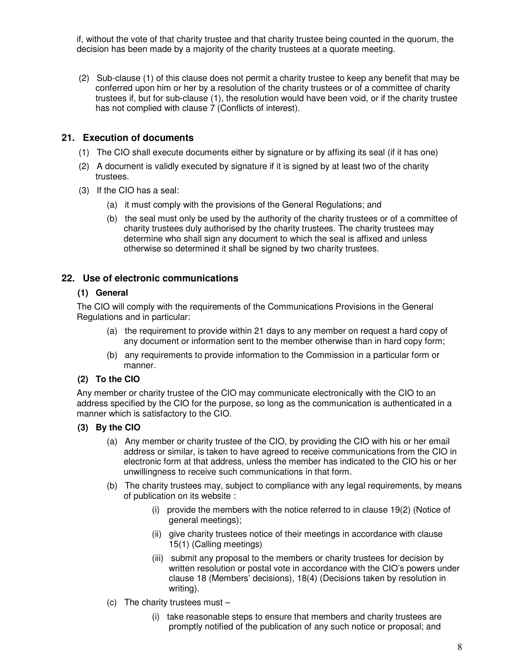if, without the vote of that charity trustee and that charity trustee being counted in the quorum, the decision has been made by a majority of the charity trustees at a quorate meeting.

(2) Sub-clause (1) of this clause does not permit a charity trustee to keep any benefit that may be conferred upon him or her by a resolution of the charity trustees or of a committee of charity trustees if, but for sub-clause (1), the resolution would have been void, or if the charity trustee has not complied with clause 7 (Conflicts of interest).

### **21. Execution of documents**

- (1) The CIO shall execute documents either by signature or by affixing its seal (if it has one)
- (2) A document is validly executed by signature if it is signed by at least two of the charity trustees.
- (3) If the CIO has a seal:
	- (a) it must comply with the provisions of the General Regulations; and
	- (b) the seal must only be used by the authority of the charity trustees or of a committee of charity trustees duly authorised by the charity trustees. The charity trustees may determine who shall sign any document to which the seal is affixed and unless otherwise so determined it shall be signed by two charity trustees.

### **22. Use of electronic communications**

#### **(1) General**

The CIO will comply with the requirements of the Communications Provisions in the General Regulations and in particular:

- (a) the requirement to provide within 21 days to any member on request a hard copy of any document or information sent to the member otherwise than in hard copy form;
- (b) any requirements to provide information to the Commission in a particular form or manner.

#### **(2) To the CIO**

Any member or charity trustee of the CIO may communicate electronically with the CIO to an address specified by the CIO for the purpose, so long as the communication is authenticated in a manner which is satisfactory to the CIO.

- **(3) By the CIO** 
	- (a) Any member or charity trustee of the CIO, by providing the CIO with his or her email address or similar, is taken to have agreed to receive communications from the CIO in electronic form at that address, unless the member has indicated to the CIO his or her unwillingness to receive such communications in that form.
	- (b) The charity trustees may, subject to compliance with any legal requirements, by means of publication on its website :
		- (i) provide the members with the notice referred to in clause 19(2) (Notice of general meetings);
		- (ii) give charity trustees notice of their meetings in accordance with clause 15(1) (Calling meetings)
		- (iii) submit any proposal to the members or charity trustees for decision by written resolution or postal vote in accordance with the CIO's powers under clause 18 (Members' decisions), 18(4) (Decisions taken by resolution in writing).
	- (c) The charity trustees must
		- (i) take reasonable steps to ensure that members and charity trustees are promptly notified of the publication of any such notice or proposal; and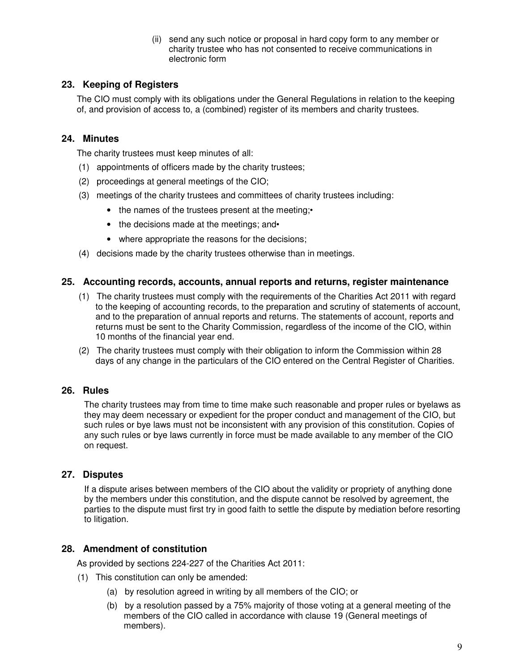(ii) send any such notice or proposal in hard copy form to any member or charity trustee who has not consented to receive communications in electronic form

# **23. Keeping of Registers**

The CIO must comply with its obligations under the General Regulations in relation to the keeping of, and provision of access to, a (combined) register of its members and charity trustees.

# **24. Minutes**

The charity trustees must keep minutes of all:

- (1) appointments of officers made by the charity trustees;
- (2) proceedings at general meetings of the CIO;
- (3) meetings of the charity trustees and committees of charity trustees including:
	- the names of the trustees present at the meeting;•
	- the decisions made at the meetings; and •
	- where appropriate the reasons for the decisions;
- (4) decisions made by the charity trustees otherwise than in meetings.

#### **25. Accounting records, accounts, annual reports and returns, register maintenance**

- (1) The charity trustees must comply with the requirements of the Charities Act 2011 with regard to the keeping of accounting records, to the preparation and scrutiny of statements of account, and to the preparation of annual reports and returns. The statements of account, reports and returns must be sent to the Charity Commission, regardless of the income of the CIO, within 10 months of the financial year end.
- (2) The charity trustees must comply with their obligation to inform the Commission within 28 days of any change in the particulars of the CIO entered on the Central Register of Charities.

# **26. Rules**

The charity trustees may from time to time make such reasonable and proper rules or byelaws as they may deem necessary or expedient for the proper conduct and management of the CIO, but such rules or bye laws must not be inconsistent with any provision of this constitution. Copies of any such rules or bye laws currently in force must be made available to any member of the CIO on request.

#### **27. Disputes**

If a dispute arises between members of the CIO about the validity or propriety of anything done by the members under this constitution, and the dispute cannot be resolved by agreement, the parties to the dispute must first try in good faith to settle the dispute by mediation before resorting to litigation.

# **28. Amendment of constitution**

As provided by sections 224-227 of the Charities Act 2011:

- (1) This constitution can only be amended:
	- (a) by resolution agreed in writing by all members of the CIO; or
	- (b) by a resolution passed by a 75% majority of those voting at a general meeting of the members of the CIO called in accordance with clause 19 (General meetings of members).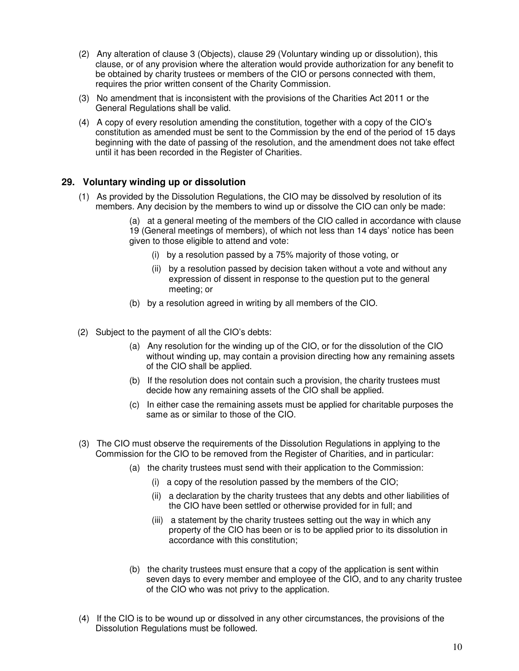- (2) Any alteration of clause 3 (Objects), clause 29 (Voluntary winding up or dissolution), this clause, or of any provision where the alteration would provide authorization for any benefit to be obtained by charity trustees or members of the CIO or persons connected with them, requires the prior written consent of the Charity Commission.
- (3) No amendment that is inconsistent with the provisions of the Charities Act 2011 or the General Regulations shall be valid.
- (4) A copy of every resolution amending the constitution, together with a copy of the CIO's constitution as amended must be sent to the Commission by the end of the period of 15 days beginning with the date of passing of the resolution, and the amendment does not take effect until it has been recorded in the Register of Charities.

# **29. Voluntary winding up or dissolution**

(1) As provided by the Dissolution Regulations, the CIO may be dissolved by resolution of its members. Any decision by the members to wind up or dissolve the CIO can only be made:

> (a) at a general meeting of the members of the CIO called in accordance with clause 19 (General meetings of members), of which not less than 14 days' notice has been given to those eligible to attend and vote:

- (i) by a resolution passed by a 75% majority of those voting, or
- (ii) by a resolution passed by decision taken without a vote and without any expression of dissent in response to the question put to the general meeting; or
- (b) by a resolution agreed in writing by all members of the CIO.
- (2) Subject to the payment of all the CIO's debts:
	- (a) Any resolution for the winding up of the CIO, or for the dissolution of the CIO without winding up, may contain a provision directing how any remaining assets of the CIO shall be applied.
	- (b) If the resolution does not contain such a provision, the charity trustees must decide how any remaining assets of the CIO shall be applied.
	- (c) In either case the remaining assets must be applied for charitable purposes the same as or similar to those of the CIO.
- (3) The CIO must observe the requirements of the Dissolution Regulations in applying to the Commission for the CIO to be removed from the Register of Charities, and in particular:
	- (a) the charity trustees must send with their application to the Commission:
		- (i) a copy of the resolution passed by the members of the CIO;
		- (ii) a declaration by the charity trustees that any debts and other liabilities of the CIO have been settled or otherwise provided for in full; and
		- (iii) a statement by the charity trustees setting out the way in which any property of the CIO has been or is to be applied prior to its dissolution in accordance with this constitution;
	- (b) the charity trustees must ensure that a copy of the application is sent within seven days to every member and employee of the CIO, and to any charity trustee of the CIO who was not privy to the application.
- (4) If the CIO is to be wound up or dissolved in any other circumstances, the provisions of the Dissolution Regulations must be followed.